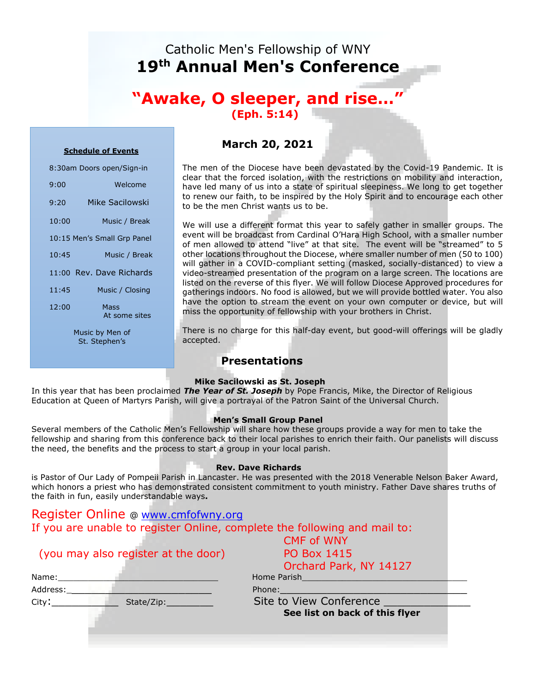# Catholic Men's Fellowship of WNY **19th Annual Men's Conference**

## **"Awake, O sleeper, and rise…" (Eph. 5:14)**

#### **Schedule of Events**

| 8:30am Doors open/Sign-in                                 |                          |  |
|-----------------------------------------------------------|--------------------------|--|
| 9:00                                                      | Welcome                  |  |
| 9:20                                                      | Mike Sacilowski          |  |
| 10:00                                                     | Music / Break            |  |
| 10:15 Men's Small Grp Panel                               |                          |  |
| 10:45                                                     | Music / Break            |  |
|                                                           | 11:00 Rev. Dave Richards |  |
| 11:45                                                     | Music / Closing          |  |
| 12:00                                                     | Mass<br>At some sites    |  |
| $M_{i,j} = I_{i,j}$ $\vdots$ $I_{i,j}$ $\vdots$ $I_{i,j}$ |                          |  |

Music by Men of St. Stephen's

### **March 20, 2021**

The men of the Diocese have been devastated by the Covid-19 Pandemic. It is clear that the forced isolation, with the restrictions on mobility and interaction, have led many of us into a state of spiritual sleepiness. We long to get together to renew our faith, to be inspired by the Holy Spirit and to encourage each other to be the men Christ wants us to be.

We will use a different format this year to safely gather in smaller groups. The event will be broadcast from Cardinal O'Hara High School, with a smaller number of men allowed to attend "live" at that site. The event will be "streamed" to 5 other locations throughout the Diocese, where smaller number of men (50 to 100) will gather in a COVID-compliant setting (masked, socially-distanced) to view a video-streamed presentation of the program on a large screen. The locations are listed on the reverse of this flyer. We will follow Diocese Approved procedures for gatherings indoors. No food is allowed, but we will provide bottled water. You also have the option to stream the event on your own computer or device, but will miss the opportunity of fellowship with your brothers in Christ.

There is no charge for this half-day event, but good-will offerings will be gladly accepted.

### **Presentations**

### **Mike Sacilowski as St. Joseph**

In this year that has been proclaimed *The Year of St. Joseph* by Pope Francis, Mike, the Director of Religious Education at Queen of Martyrs Parish, will give a portrayal of the Patron Saint of the Universal Church.

#### **Men's Small Group Panel**

Several members of the Catholic Men's Fellowship will share how these groups provide a way for men to take the fellowship and sharing from this conference back to their local parishes to enrich their faith. Our panelists will discuss the need, the benefits and the process to start a group in your local parish.

### **Rev. Dave Richards**

is Pastor of Our Lady of Pompeii Parish in Lancaster. He was presented with the 2018 Venerable Nelson Baker Award, which honors a priest who has demonstrated consistent commitment to youth ministry. Father Dave shares truths of the faith in fun, easily understandable ways**.**

| Register Online @ www.cmfofwny.org                                                                            |                                                                                                                |
|---------------------------------------------------------------------------------------------------------------|----------------------------------------------------------------------------------------------------------------|
| If you are unable to register Online, complete the following and mail to:                                     |                                                                                                                |
|                                                                                                               | <b>CMF of WNY</b>                                                                                              |
| (you may also register at the door)                                                                           | <b>PO Box 1415</b>                                                                                             |
|                                                                                                               | Orchard Park, NY 14127                                                                                         |
| Name:                                                                                                         | Home Parish and the state of the state of the state of the state of the state of the state of the state of the |
| Address:                                                                                                      | Phone:                                                                                                         |
| City:<br>State/Zip: The State of the State of the State of the State of the State of the State of the State o | Site to View Conference                                                                                        |
|                                                                                                               | See list on back of this flyer                                                                                 |
|                                                                                                               |                                                                                                                |
|                                                                                                               |                                                                                                                |